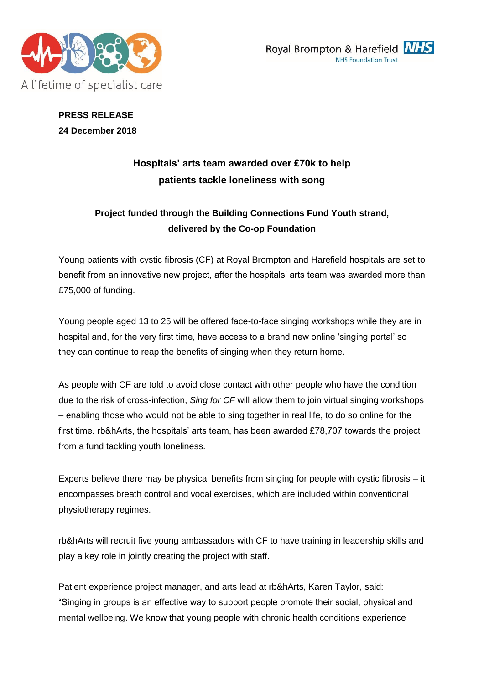



# **PRESS RELEASE 24 December 2018**

# **Hospitals' arts team awarded over £70k to help patients tackle loneliness with song**

# **Project funded through the Building Connections Fund Youth strand, delivered by the Co-op Foundation**

Young patients with cystic fibrosis (CF) at Royal Brompton and Harefield hospitals are set to benefit from an innovative new project, after the hospitals' arts team was awarded more than £75,000 of funding.

Young people aged 13 to 25 will be offered face-to-face singing workshops while they are in hospital and, for the very first time, have access to a brand new online 'singing portal' so they can continue to reap the benefits of singing when they return home.

As people with CF are told to avoid close contact with other people who have the condition due to the risk of cross-infection, *Sing for CF* will allow them to join virtual singing workshops – enabling those who would not be able to sing together in real life, to do so online for the first time. rb&hArts, the hospitals' arts team, has been awarded £78,707 towards the project from a fund tackling youth loneliness.

Experts believe there may be physical benefits from singing for people with cystic fibrosis – it encompasses breath control and vocal exercises, which are included within conventional physiotherapy regimes.

rb&hArts will recruit five young ambassadors with CF to have training in leadership skills and play a key role in jointly creating the project with staff.

Patient experience project manager, and arts lead at rb&hArts, Karen Taylor, said: "Singing in groups is an effective way to support people promote their social, physical and mental wellbeing. We know that young people with chronic health conditions experience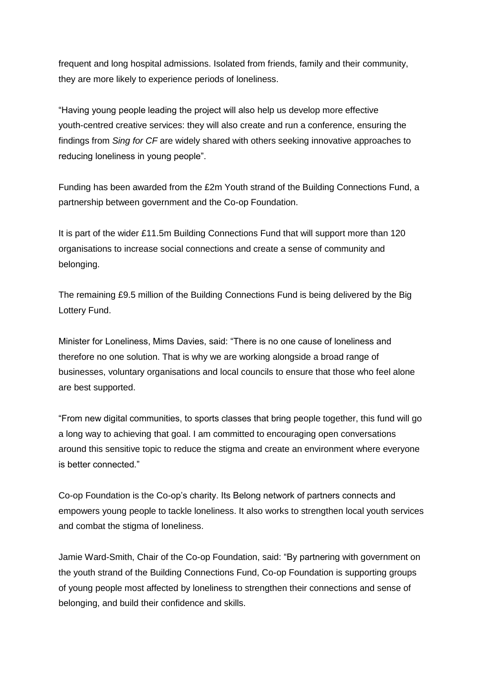frequent and long hospital admissions. Isolated from friends, family and their community, they are more likely to experience periods of loneliness.

"Having young people leading the project will also help us develop more effective youth-centred creative services: they will also create and run a conference, ensuring the findings from *Sing for CF* are widely shared with others seeking innovative approaches to reducing loneliness in young people".

Funding has been awarded from the £2m Youth strand of the Building Connections Fund, a partnership between government and the Co-op Foundation.

It is part of the wider £11.5m Building Connections Fund that will support more than 120 organisations to increase social connections and create a sense of community and belonging.

The remaining £9.5 million of the Building Connections Fund is being delivered by the Big Lottery Fund.

Minister for Loneliness, Mims Davies, said: "There is no one cause of loneliness and therefore no one solution. That is why we are working alongside a broad range of businesses, voluntary organisations and local councils to ensure that those who feel alone are best supported.

"From new digital communities, to sports classes that bring people together, this fund will go a long way to achieving that goal. I am committed to encouraging open conversations around this sensitive topic to reduce the stigma and create an environment where everyone is better connected."

Co-op Foundation is the Co-op's charity. Its Belong network of partners connects and empowers young people to tackle loneliness. It also works to strengthen local youth services and combat the stigma of loneliness.

Jamie Ward-Smith, Chair of the Co-op Foundation, said: "By partnering with government on the youth strand of the Building Connections Fund, Co-op Foundation is supporting groups of young people most affected by loneliness to strengthen their connections and sense of belonging, and build their confidence and skills.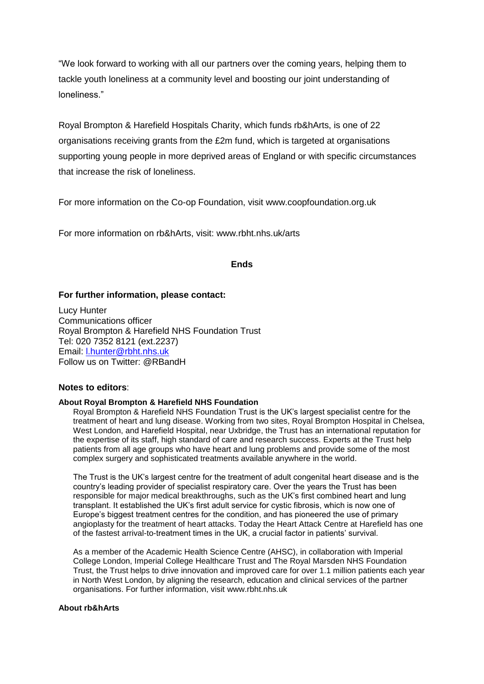"We look forward to working with all our partners over the coming years, helping them to tackle youth loneliness at a community level and boosting our joint understanding of loneliness."

Royal Brompton & Harefield Hospitals Charity, which funds rb&hArts, is one of 22 organisations receiving grants from the £2m fund, which is targeted at organisations supporting young people in more deprived areas of England or with specific circumstances that increase the risk of loneliness.

For more information on the Co-op Foundation, visit www.coopfoundation.org.uk

For more information on rb&hArts, visit: www.rbht.nhs.uk/arts

## **Ends**

## **For further information, please contact:**

Lucy Hunter Communications officer Royal Brompton & Harefield NHS Foundation Trust Tel: 020 7352 8121 (ext.2237) Email: [l.hunter@rbht.nhs.uk](mailto:l.hunter@rbht.nhs.uk) Follow us on Twitter: @RBandH

## **Notes to editors**:

#### **About Royal Brompton & Harefield NHS Foundation**

Royal Brompton & Harefield NHS Foundation Trust is the UK's largest specialist centre for the treatment of heart and lung disease. Working from two sites, Royal Brompton Hospital in Chelsea, West London, and Harefield Hospital, near Uxbridge, the Trust has an international reputation for the expertise of its staff, high standard of care and research success. Experts at the Trust help patients from all age groups who have heart and lung problems and provide some of the most complex surgery and sophisticated treatments available anywhere in the world.

The Trust is the UK's largest centre for the treatment of adult congenital heart disease and is the country's leading provider of specialist respiratory care. Over the years the Trust has been responsible for major medical breakthroughs, such as the UK's first combined heart and lung transplant. It established the UK's first adult service for cystic fibrosis, which is now one of Europe's biggest treatment centres for the condition, and has pioneered the use of primary angioplasty for the treatment of heart attacks. Today the Heart Attack Centre at Harefield has one of the fastest arrival-to-treatment times in the UK, a crucial factor in patients' survival.

As a member of the Academic Health Science Centre (AHSC), in collaboration with Imperial College London, Imperial College Healthcare Trust and The Royal Marsden NHS Foundation Trust, the Trust helps to drive innovation and improved care for over 1.1 million patients each year in North West London, by aligning the research, education and clinical services of the partner organisations. For further information, visit [www.rbht.nhs.uk](http://www.rbht.nhs.uk/)

### **About rb&hArts**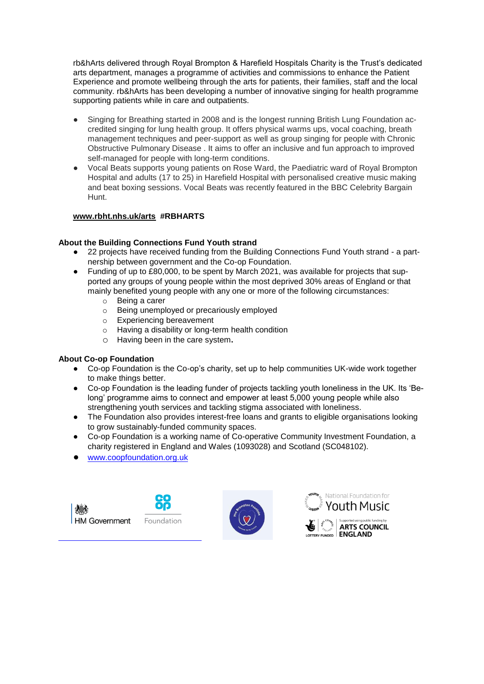rb&hArts delivered through Royal Brompton & Harefield Hospitals Charity is the Trust's dedicated arts department, manages a programme of activities and commissions to enhance the Patient Experience and promote wellbeing through the arts for patients, their families, staff and the local community. rb&hArts has been developing a number of innovative singing for health programme supporting patients while in care and outpatients.

- Singing for Breathing started in 2008 and is the longest running British Lung Foundation accredited singing for lung health group. It offers physical warms ups, vocal coaching, breath management techniques and peer-support as well as group singing for people with Chronic Obstructive Pulmonary Disease . It aims to offer an inclusive and fun approach to improved self-managed for people with long-term conditions.
- Vocal Beats supports young patients on Rose Ward, the Paediatric ward of Royal Brompton Hospital and adults (17 to 25) in Harefield Hospital with personalised creative music making and beat boxing sessions. Vocal Beats was recently featured in the BBC Celebrity Bargain Hunt.

# **[www.rbht.nhs.uk/arts](http://www.rbht.nhs.uk/arts) #RBHARTS**

# **About the Building Connections Fund Youth strand**

- 22 projects have received funding from the Building Connections Fund Youth strand a partnership between government and the Co-op Foundation.
- Funding of up to £80,000, to be spent by March 2021, was available for projects that supported any groups of young people within the most deprived 30% areas of England or that mainly benefited young people with any one or more of the following circumstances:
	- o Being a carer
	- o Being unemployed or precariously employed
	- o Experiencing bereavement
	- o Having a disability or long-term health condition

j.

o Having been in the care system**.**

## **About Co-op Foundation**

- Co-op Foundation is the Co-op's charity, set up to help communities UK-wide work together to make things better.
- Co-op Foundation is the leading funder of projects tackling youth loneliness in the UK. Its 'Belong' programme aims to connect and empower at least 5,000 young people while also strengthening youth services and tackling stigma associated with loneliness.
- The Foundation also provides interest-free loans and grants to eligible organisations looking to grow sustainably-funded community spaces.
- Co-op Foundation is a working name of Co-operative Community Investment Foundation, a charity registered in England and Wales (1093028) and Scotland (SC048102).
- [www.coopfoundation.org.uk](http://www.coopfoundation.org.uk/)